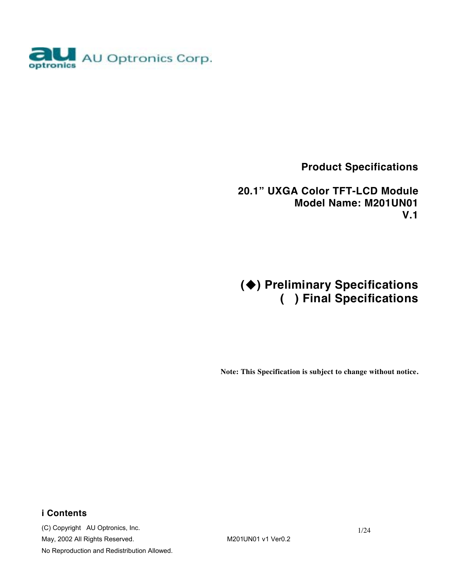

 **Product Specifications** 

 **20.1" UXGA Color TFT-LCD Module Model Name: M201UN01 V.1** 

# **() Preliminary Specifications ( ) Final Specifications**

**Note: This Specification is subject to change without notice.**

### **i Contents**

(C) Copyright AU Optronics, Inc. May, 2002 All Rights Reserved. M201UN01 v1 Ver0.2 No Reproduction and Redistribution Allowed.

1/24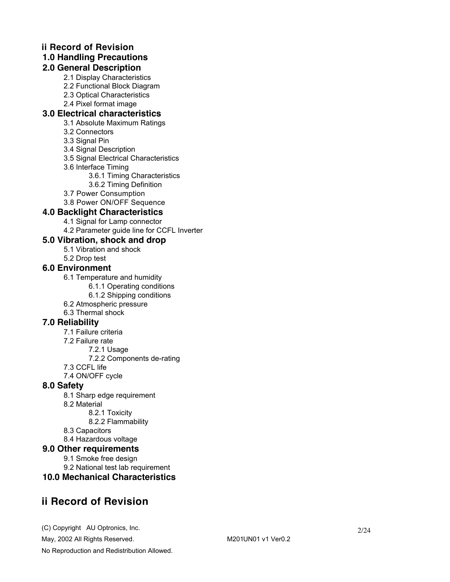### **ii Record of Revision**

### **1.0 Handling Precautions**

### **2.0 General Description**

- 2.1 Display Characteristics
	- 2.2 Functional Block Diagram
	- 2.3 Optical Characteristics
	- 2.4 Pixel format image

### **3.0 Electrical characteristics**

- 3.1 Absolute Maximum Ratings
- 3.2 Connectors
- 3.3 Signal Pin
- 3.4 Signal Description
- 3.5 Signal Electrical Characteristics
- 3.6 Interface Timing
	- 3.6.1 Timing Characteristics
	- 3.6.2 Timing Definition
- 3.7 Power Consumption
- 3.8 Power ON/OFF Sequence

### **4.0 Backlight Characteristics**

- 4.1 Signal for Lamp connector
- 4.2 Parameter guide line for CCFL Inverter

### **5.0 Vibration, shock and drop**

- 5.1 Vibration and shock
- 5.2 Drop test

### **6.0 Environment**

- 6.1 Temperature and humidity
	- 6.1.1 Operating conditions
		- 6.1.2 Shipping conditions
- 6.2 Atmospheric pressure
- 6.3 Thermal shock

### **7.0 Reliability**

- 7.1 Failure criteria
- 7.2 Failure rate
	- 7.2.1 Usage
		- 7.2.2 Components de-rating
- 7.3 CCFL life
- 7.4 ON/OFF cycle

#### **8.0 Safety**

- 8.1 Sharp edge requirement
- 8.2 Material
	- 8.2.1 Toxicity
	- 8.2.2 Flammability
- 8.3 Capacitors
- 8.4 Hazardous voltage

#### **9.0 Other requirements**

- 9.1 Smoke free design
- 9.2 National test lab requirement
- **10.0 Mechanical Characteristics**

## **ii Record of Revision**

(C) Copyright AU Optronics, Inc. May, 2002 All Rights Reserved. May, 2002 All Rights Reserved. No Reproduction and Redistribution Allowed.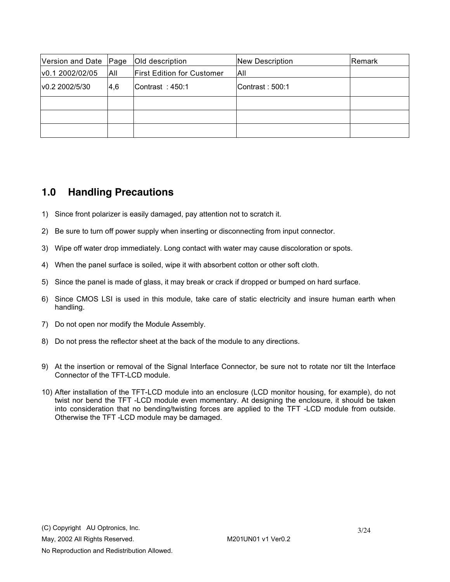| Version and Date Page |            | Old description                   | <b>New Description</b> | Remark |
|-----------------------|------------|-----------------------------------|------------------------|--------|
| v0.1 2002/02/05       | <b>AII</b> | <b>First Edition for Customer</b> | All                    |        |
| v0.2 2002/5/30        | 4.6        | Contrast: 450:1                   | Contrast: 500:1        |        |
|                       |            |                                   |                        |        |
|                       |            |                                   |                        |        |
|                       |            |                                   |                        |        |

### **1.0 Handling Precautions**

- 1) Since front polarizer is easily damaged, pay attention not to scratch it.
- 2) Be sure to turn off power supply when inserting or disconnecting from input connector.
- 3) Wipe off water drop immediately. Long contact with water may cause discoloration or spots.
- 4) When the panel surface is soiled, wipe it with absorbent cotton or other soft cloth.
- 5) Since the panel is made of glass, it may break or crack if dropped or bumped on hard surface.
- 6) Since CMOS LSI is used in this module, take care of static electricity and insure human earth when handling.
- 7) Do not open nor modify the Module Assembly.
- 8) Do not press the reflector sheet at the back of the module to any directions.
- 9) At the insertion or removal of the Signal Interface Connector, be sure not to rotate nor tilt the Interface Connector of the TFT-LCD module.
- 10) After installation of the TFT-LCD module into an enclosure (LCD monitor housing, for example), do not twist nor bend the TFT -LCD module even momentary. At designing the enclosure, it should be taken into consideration that no bending/twisting forces are applied to the TFT -LCD module from outside. Otherwise the TFT -LCD module may be damaged.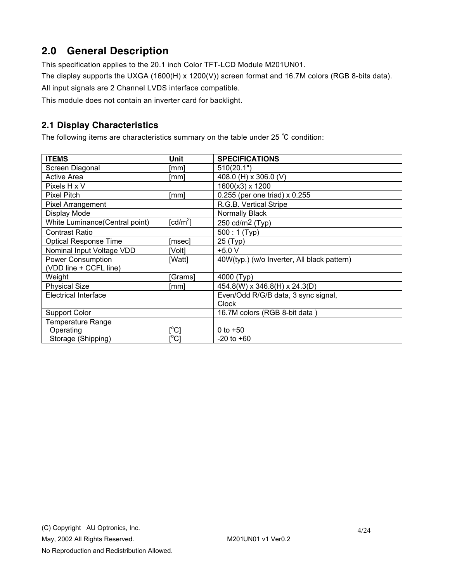# **2.0 General Description**

This specification applies to the 20.1 inch Color TFT-LCD Module M201UN01.

The display supports the UXGA (1600(H) x 1200(V)) screen format and 16.7M colors (RGB 8-bits data).

All input signals are 2 Channel LVDS interface compatible.

This module does not contain an inverter card for backlight.

### **2.1 Display Characteristics**

The following items are characteristics summary on the table under 25 ℃ condition:

| <b>ITEMS</b>                   | Unit                                | <b>SPECIFICATIONS</b>                       |
|--------------------------------|-------------------------------------|---------------------------------------------|
| Screen Diagonal                | [mm]                                | 510(20.1")                                  |
| <b>Active Area</b>             | [mm]                                | 408.0 (H) x 306.0 (V)                       |
| Pixels H x V                   |                                     | 1600(x3) x 1200                             |
| <b>Pixel Pitch</b>             | [mm]                                | 0.255 (per one triad) x 0.255               |
| <b>Pixel Arrangement</b>       |                                     | R.G.B. Vertical Stripe                      |
| Display Mode                   |                                     | Normally Black                              |
| White Luminance(Central point) | $\lceil$ cd/m <sup>2</sup> $\rceil$ | 250 cd/m <sup>2</sup> (Typ)                 |
| <b>Contrast Ratio</b>          |                                     | $500:1$ (Typ)                               |
| <b>Optical Response Time</b>   | [msec]                              | 25 (Typ)                                    |
| Nominal Input Voltage VDD      | [Volt]                              | $+5.0 V$                                    |
| <b>Power Consumption</b>       | [Watt]                              | 40W(typ.) (w/o Inverter, All black pattern) |
| (VDD line + CCFL line)         |                                     |                                             |
| Weight                         | [Grams]                             | 4000 (Typ)                                  |
| <b>Physical Size</b>           | [mm]                                | 454.8(W) x 346.8(H) x 24.3(D)               |
| Electrical Interface           |                                     | Even/Odd R/G/B data, 3 sync signal,         |
|                                |                                     | <b>Clock</b>                                |
| Support Color                  |                                     | 16.7M colors (RGB 8-bit data)               |
| Temperature Range              |                                     |                                             |
| Operating                      | [°C]                                | 0 to $+50$                                  |
| Storage (Shipping)             | [°C]                                | $-20$ to $+60$                              |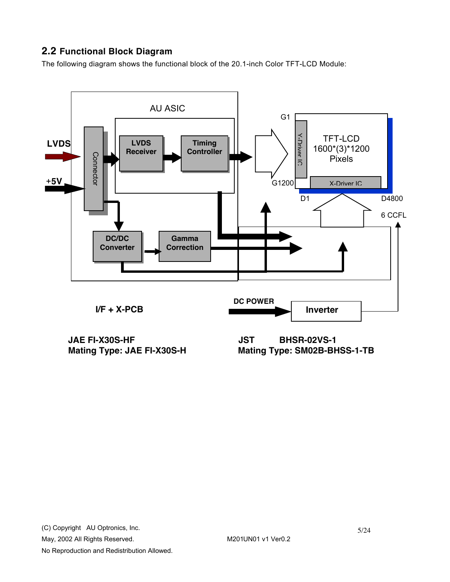### **2.2 Functional Block Diagram**

The following diagram shows the functional block of the 20.1-inch Color TFT-LCD Module:



**JAE FI-X30S-HF** JST BHSR-02VS-1<br>Mating Type: JAE FI-X30S-H Mating Type: SM02B-BH

**Mating Type: SM02B-BHSS-1-TB**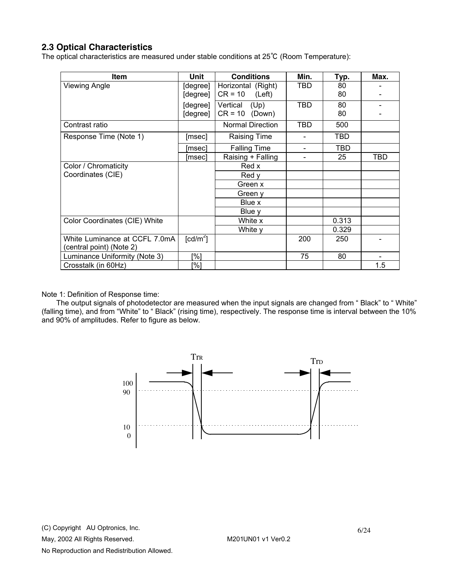### **2.3 Optical Characteristics**

The optical characteristics are measured under stable conditions at 25℃ (Room Temperature):

| <b>Item</b>                   | Unit                   | <b>Conditions</b>       | Min.       | Typ.       | Max. |
|-------------------------------|------------------------|-------------------------|------------|------------|------|
| Viewing Angle                 | [degree]               | Horizontal (Right)      | TBD        | 80         |      |
|                               | [degree]               | $CR = 10$<br>(Left)     |            | 80         |      |
|                               | [degree]               | Vertical<br>(Up)        | TBD        | 80         |      |
|                               | [degree]               | $CR = 10$<br>(Down)     |            | 80         |      |
| Contrast ratio                |                        | <b>Normal Direction</b> | <b>TBD</b> | 500        |      |
| Response Time (Note 1)        | [msec]                 | <b>Raising Time</b>     |            | <b>TBD</b> |      |
|                               | [msec]                 | <b>Falling Time</b>     | -          | <b>TBD</b> |      |
|                               | [msec]                 | Raising + Falling       |            | 25         | TBD  |
| Color / Chromaticity          |                        | Red x                   |            |            |      |
| Coordinates (CIE)             |                        | Red y                   |            |            |      |
|                               |                        | Green x                 |            |            |      |
|                               |                        | Green y                 |            |            |      |
|                               |                        | Blue x                  |            |            |      |
|                               |                        | Blue y                  |            |            |      |
| Color Coordinates (CIE) White |                        | White x                 |            | 0.313      |      |
|                               |                        | White y                 |            | 0.329      |      |
| White Luminance at CCFL 7.0mA | $\lceil cd/m^2 \rceil$ |                         | 200        | 250        |      |
| (central point) (Note 2)      |                        |                         |            |            |      |
| Luminance Uniformity (Note 3) | [%]                    |                         | 75         | 80         |      |
| Crosstalk (in 60Hz)           | [%]                    |                         |            |            | 1.5  |

Note 1: Definition of Response time:

The output signals of photodetector are measured when the input signals are changed from " Black" to " White" (falling time), and from "White" to " Black" (rising time), respectively. The response time is interval between the 10% and 90% of amplitudes. Refer to figure as below.

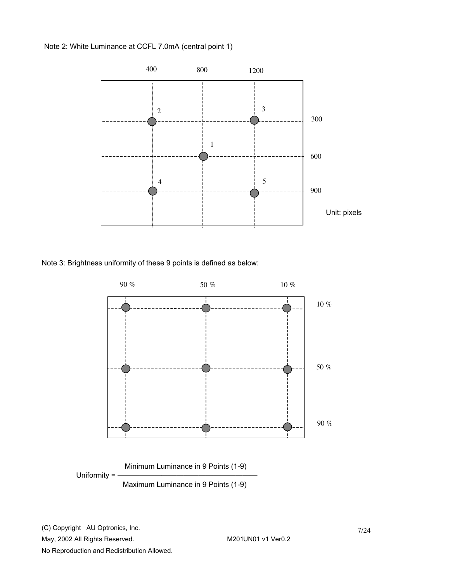Note 2: White Luminance at CCFL 7.0mA (central point 1)



Note 3: Brightness uniformity of these 9 points is defined as below:



No Reproduction and Redistribution Allowed.

7/24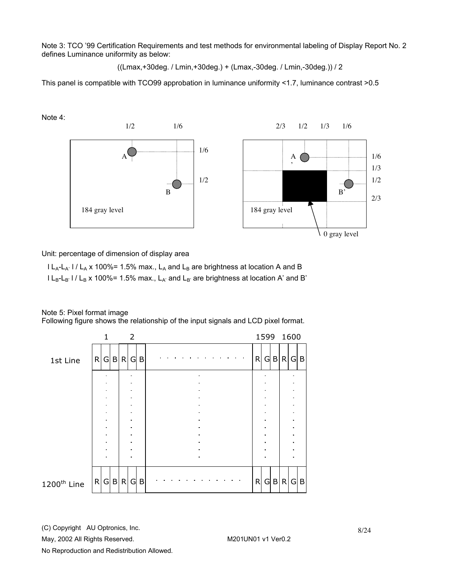Note 3: TCO '99 Certification Requirements and test methods for environmental labeling of Display Report No. 2 defines Luminance uniformity as below:

((Lmax,+30deg. / Lmin,+30deg.) + (Lmax,-30deg. / Lmin,-30deg.)) / 2

This panel is compatible with TCO99 approbation in luminance uniformity <1.7, luminance contrast >0.5

Note 4:



Unit: percentage of dimension of display area

 $l L_A-L_{A'}$  l /  $L_A$  x 100%= 1.5% max.,  $L_A$  and  $L_B$  are brightness at location A and B  $l L_B-L_B$ '  $l / L_B$  x 100%= 1.5% max.,  $L_{A'}$  and  $L_{B'}$  are brightness at location A' and B'

#### Note 5: Pixel format image

Following figure shows the relationship of the input signals and LCD pixel format.



(C) Copyright AU Optronics, Inc.

May, 2002 All Rights Reserved. May, 2002 All Rights Reserved.

No Reproduction and Redistribution Allowed.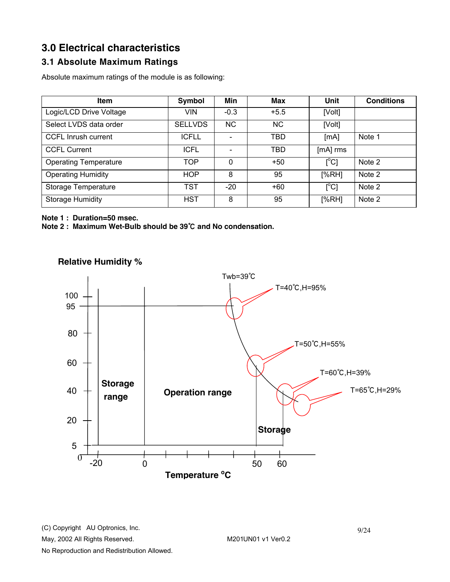# **3.0 Electrical characteristics**

### **3.1 Absolute Maximum Ratings**

Absolute maximum ratings of the module is as following:

| <b>Item</b>                  | Symbol         | Min      | <b>Max</b> | Unit                      | <b>Conditions</b> |
|------------------------------|----------------|----------|------------|---------------------------|-------------------|
| Logic/LCD Drive Voltage      | <b>VIN</b>     | $-0.3$   | $+5.5$     | [Volt]                    |                   |
| Select LVDS data order       | <b>SELLVDS</b> | NС       | <b>NC</b>  | [Volt]                    |                   |
| <b>CCFL Inrush current</b>   | <b>ICFLL</b>   |          | <b>TBD</b> | [MA]                      | Note 1            |
| <b>CCFL Current</b>          | <b>ICFL</b>    |          | TBD        | [mA] rms                  |                   |
| <b>Operating Temperature</b> | <b>TOP</b>     | $\Omega$ | $+50$      | $\mathsf{I}^{\circ}$ C]   | Note 2            |
| <b>Operating Humidity</b>    | <b>HOP</b>     | 8        | 95         | [%RH]                     | Note 2            |
| Storage Temperature          | <b>TST</b>     | $-20$    | $+60$      | $\lceil{^{\circ}C}\rceil$ | Note 2            |
| <b>Storage Humidity</b>      | <b>HST</b>     | 8        | 95         | [%RH]                     | Note 2            |

**Note 1 : Duration=50 msec.** 

**Note 2 : Maximum Wet-Bulb should be 39**℃ **and No condensation.** 



### **Relative Humidity %**

(C) Copyright AU Optronics, Inc. May, 2002 All Rights Reserved. May, 2002 All Rights Reserved. No Reproduction and Redistribution Allowed.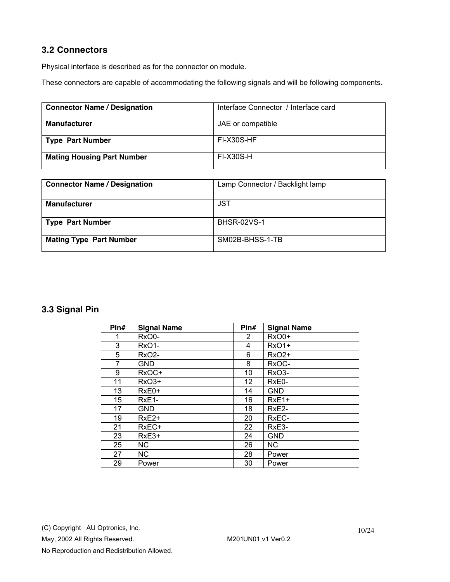### **3.2 Connectors**

Physical interface is described as for the connector on module.

These connectors are capable of accommodating the following signals and will be following components.

| <b>Connector Name / Designation</b> | Interface Connector / Interface card |
|-------------------------------------|--------------------------------------|
| <b>Manufacturer</b>                 | JAE or compatible                    |
| Type Part Number                    | FI-X30S-HF                           |
| <b>Mating Housing Part Number</b>   | <b>FI-X30S-H</b>                     |

| <b>Connector Name / Designation</b> | Lamp Connector / Backlight lamp |
|-------------------------------------|---------------------------------|
| <b>Manufacturer</b>                 | <b>JST</b>                      |
| <b>Type Part Number</b>             | <b>BHSR-02VS-1</b>              |
| <b>Mating Type Part Number</b>      | SM02B-BHSS-1-TB                 |

### **3.3 Signal Pin**

| Pin# | <b>Signal Name</b> | Pin#         | <b>Signal Name</b> |
|------|--------------------|--------------|--------------------|
| 1    | RxO0-              | $\mathbf{2}$ | RxO0+              |
| 3    | RxO1-              | 4            | <b>RxO1+</b>       |
| 5    | RxO <sub>2</sub> - | 6            | <b>RxO2+</b>       |
| 7    | GND                | 8            | RxOC-              |
| 9    | RxOC+              | 10           | RxO <sub>3</sub> - |
| 11   | RxO <sub>3+</sub>  | 12           | RxE0-              |
| 13   | RxE0+              | 14           | <b>GND</b>         |
| 15   | RxE <sub>1</sub> - | 16           | $RxE1+$            |
| 17   | GND                | 18           | RxE <sub>2</sub> - |
| 19   | RxE <sub>2+</sub>  | 20           | RxEC-              |
| 21   | RxEC+              | 22           | RxE3-              |
| 23   | RxE3+              | 24           | <b>GND</b>         |
| 25   | <b>NC</b>          | 26           | <b>NC</b>          |
| 27   | <b>NC</b>          | 28           | Power              |
| 29   | Power              | 30           | Power              |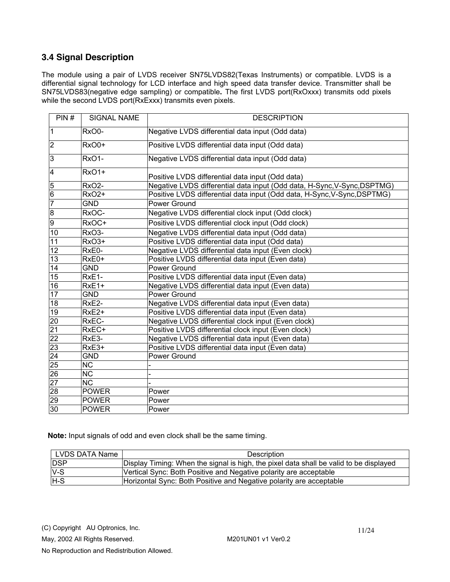### **3.4 Signal Description**

The module using a pair of LVDS receiver SN75LVDS82(Texas Instruments) or compatible. LVDS is a differential signal technology for LCD interface and high speed data transfer device. Transmitter shall be SN75LVDS83(negative edge sampling) or compatible**.** The first LVDS port(RxOxxx) transmits odd pixels while the second LVDS port(RxExxx) transmits even pixels.

| PIN#                    | <b>SIGNAL NAME</b>     | <b>DESCRIPTION</b>                                                       |
|-------------------------|------------------------|--------------------------------------------------------------------------|
| $\mathbf{1}$            | RxO0-                  | Negative LVDS differential data input (Odd data)                         |
| $\overline{2}$          | RxO0+                  | Positive LVDS differential data input (Odd data)                         |
| 3                       | RxO1-                  | Negative LVDS differential data input (Odd data)                         |
| $\overline{\mathbf{4}}$ | RxO1+                  | Positive LVDS differential data input (Odd data)                         |
| 5                       | RxO <sub>2</sub> -     | Negative LVDS differential data input (Odd data, H-Sync, V-Sync, DSPTMG) |
| $6\overline{6}$         | RxO <sub>2+</sub>      | Positive LVDS differential data input (Odd data, H-Sync, V-Sync, DSPTMG) |
| $\overline{7}$          | <b>GND</b>             | Power Ground                                                             |
| $\overline{8}$          | RxOC-                  | Negative LVDS differential clock input (Odd clock)                       |
| o                       | RxOC+                  | Positive LVDS differential clock input (Odd clock)                       |
| $\overline{10}$         | <b>RxO3-</b>           | Negative LVDS differential data input (Odd data)                         |
| 11                      | RxO <sub>3+</sub>      | Positive LVDS differential data input (Odd data)                         |
| $\overline{12}$         | RxE0-                  | Negative LVDS differential data input (Even clock)                       |
| $\overline{13}$         | RxE0+                  | Positive LVDS differential data input (Even data)                        |
| 14                      | <b>GND</b>             | Power Ground                                                             |
| $\overline{15}$         | RxE1-                  | Positive LVDS differential data input (Even data)                        |
| $\overline{16}$         | RxE1+                  | Negative LVDS differential data input (Even data)                        |
| $\overline{17}$         | <b>GND</b>             | Power Ground                                                             |
| 18                      | RxE <sub>2</sub> -     | Negative LVDS differential data input (Even data)                        |
| 19                      | RxE <sub>2+</sub>      | Positive LVDS differential data input (Even data)                        |
| $\overline{20}$         | RxEC-                  | Negative LVDS differential clock input (Even clock)                      |
| $\overline{21}$         | RxEC+                  | Positive LVDS differential clock input (Even clock)                      |
| $\overline{22}$         | RxE3-                  | Negative LVDS differential data input (Even data)                        |
| 23                      | RxE3+                  | Positive LVDS differential data input (Even data)                        |
| $\overline{24}$         | <b>GND</b>             | Power Ground                                                             |
| 25                      | $\overline{\text{NC}}$ |                                                                          |
| 26                      | $\overline{\text{NC}}$ |                                                                          |
| 27                      | $\overline{\text{NC}}$ |                                                                          |
| $\overline{28}$         | <b>POWER</b>           | Power                                                                    |
| 29                      | <b>POWER</b>           | Power                                                                    |
| 30                      | <b>POWER</b>           | Power                                                                    |

 **Note:** Input signals of odd and even clock shall be the same timing.

| LVDS DATA Name | Description                                                                            |
|----------------|----------------------------------------------------------------------------------------|
| <b>DSP</b>     | Display Timing: When the signal is high, the pixel data shall be valid to be displayed |
| $V-S$          | Vertical Sync: Both Positive and Negative polarity are acceptable                      |
| $H-S$          | Horizontal Sync: Both Positive and Negative polarity are acceptable                    |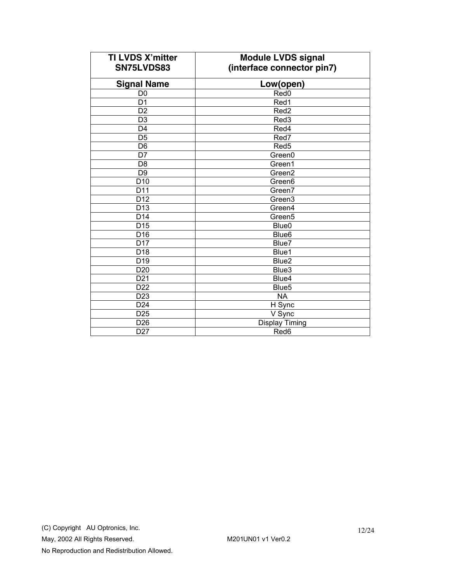| <b>TI LVDS X'mitter</b><br>SN75LVDS83 | <b>Module LVDS signal</b><br>(interface connector pin7) |
|---------------------------------------|---------------------------------------------------------|
| <b>Signal Name</b>                    | Low(open)                                               |
| D <sub>0</sub>                        | Red <sub>0</sub>                                        |
| D <sub>1</sub>                        | Red1                                                    |
| $\overline{D2}$                       | Red <sub>2</sub>                                        |
| D <sub>3</sub>                        | Red3                                                    |
| D <sub>4</sub>                        | Red4                                                    |
| $\overline{D5}$                       | Red7                                                    |
| D <sub>6</sub>                        | Red <sub>5</sub>                                        |
| $\overline{D7}$                       | Green0                                                  |
| D <sub>8</sub>                        | Green1                                                  |
| $\overline{D9}$                       | Green2                                                  |
| D <sub>10</sub>                       | Green <sub>6</sub>                                      |
| D <sub>11</sub>                       | Green7                                                  |
| $\overline{D12}$                      | Green3                                                  |
| D <sub>13</sub>                       | Green4                                                  |
| D14                                   | Green <sub>5</sub>                                      |
| $\overline{D15}$                      | Blue <sub>0</sub>                                       |
| D <sub>16</sub>                       | Blue <sub>6</sub>                                       |
| D <sub>17</sub>                       | Blue7                                                   |
| $\overline{D18}$                      | Blue1                                                   |
| $\overline{D19}$                      | Blue <sub>2</sub>                                       |
| D <sub>20</sub>                       | Blue3                                                   |
| $\overline{D21}$                      | Blue4                                                   |
| D22                                   | Blue <sub>5</sub>                                       |
| D <sub>23</sub>                       | <b>NA</b>                                               |
| D <sub>24</sub>                       | H Sync                                                  |
| D <sub>25</sub>                       | V Sync                                                  |
| D <sub>26</sub>                       | Display Timing                                          |
| D <sub>27</sub>                       | Red6                                                    |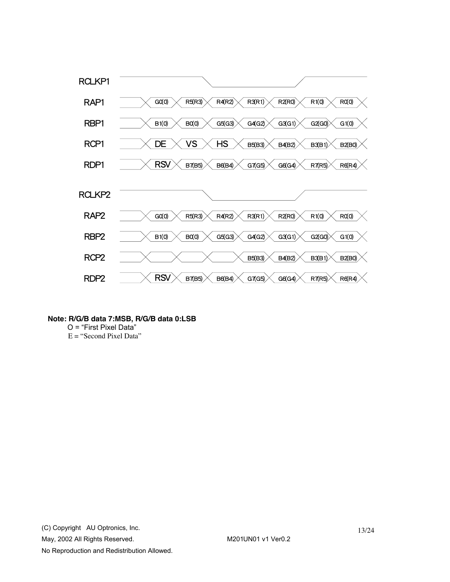

- **Note: R/G/B data 7:MSB, R/G/B data 0:LSB** 
	- O = "First Pixel Data"
	- E = "Second Pixel Data"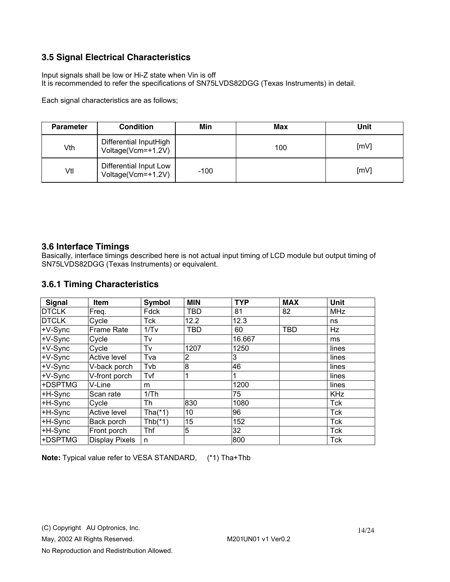### **3.5 Signal Electrical Characteristics**

Input signals shall be low or Hi-Z state when Vin is off It is recommended to refer the specifications of SN75LVDS82DGG (Texas Instruments) in detail.

Each signal characteristics are as follows;

| <b>Parameter</b> | <b>Condition</b>                             | Min    | <b>Max</b> | Unit |
|------------------|----------------------------------------------|--------|------------|------|
| Vth              | Differential InputHigh<br>Voltage(Vcm=+1.2V) |        | 100        | [mV] |
| Vtl              | Differential Input Low<br>Voltage(Vcm=+1.2V) | $-100$ |            | [mV] |

#### **3.6 Interface Timings**

Basically, interface timings described here is not actual input timing of LCD module but output timing of SN75LVDS82DGG (Texas Instruments) or equivalent.

### **3.6.1 Timing Characteristics**

| <b>Signal</b> | Item                  | Symbol     | <b>MIN</b> | <b>TYP</b> | <b>MAX</b> | Unit       |
|---------------|-----------------------|------------|------------|------------|------------|------------|
| <b>DTCLK</b>  | Freq.                 | Fdck       | TBD        | 81         | 82         | <b>MHz</b> |
| <b>DTCLK</b>  | Cycle                 | Tck        | 12.2       | 12.3       |            | ns         |
| +V-Sync       | <b>Frame Rate</b>     | 1/Tv       | <b>TBD</b> | 60         | <b>TBD</b> | Hz         |
| +V-Sync       | Cycle                 | Tv         |            | 16.667     |            | ms         |
| +V-Sync       | Cycle                 | Tv         | 1207       | 1250       |            | lines      |
| +V-Sync       | <b>Active level</b>   | Tva        | 2          | 3          |            | lines      |
| +V-Sync       | V-back porch          | Tvb        | 8          | 46         |            | lines      |
| +V-Sync       | V-front porch         | Tvf        |            |            |            | lines      |
| +DSPTMG       | V-Line                | m          |            | 1200       |            | lines      |
| $+H-Sync$     | Scan rate             | 1/Th       |            | 75         |            | <b>KHz</b> |
| +H-Sync       | Cycle                 | Th         | 830        | 1080       |            | Tck        |
| +H-Sync       | <b>Active level</b>   | Tha $(*1)$ | 10         | 96         |            | <b>Tck</b> |
| +H-Sync       | Back porch            | Thb $(*1)$ | 15         | 152        |            | Tck        |
| +H-Sync       | Front porch           | Thf        | 5          | 32         |            | <b>Tck</b> |
| +DSPTMG       | <b>Display Pixels</b> | n          |            | 800        |            | <b>Tck</b> |

**Note:** Typical value refer to VESA STANDARD, (\*1) Tha+Thb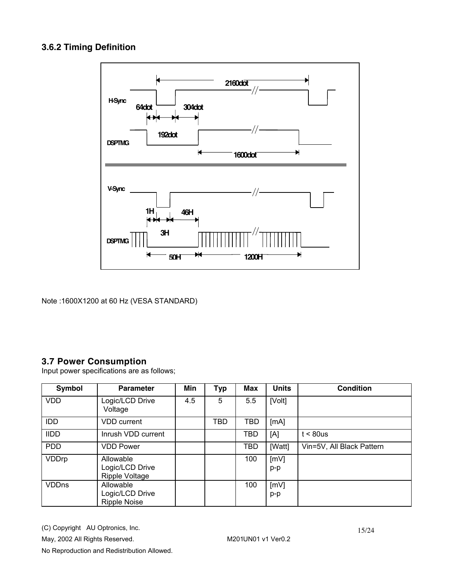### **3.6.2 Timing Definition**



Note :1600X1200 at 60 Hz (VESA STANDARD)

### **3.7 Power Consumption**

Input power specifications are as follows;

| Symbol       | <b>Parameter</b>                                      | Min | <b>Typ</b> | Max        | <b>Units</b> | <b>Condition</b>          |
|--------------|-------------------------------------------------------|-----|------------|------------|--------------|---------------------------|
| <b>VDD</b>   | Logic/LCD Drive<br>Voltage                            | 4.5 | 5          | 5.5        | [Volt]       |                           |
| <b>IDD</b>   | <b>VDD</b> current                                    |     | <b>TBD</b> | TBD        | [mA]         |                           |
| <b>IIDD</b>  | Inrush VDD current                                    |     |            | TBD        | [A]          | $t < 80$ us               |
| <b>PDD</b>   | <b>VDD Power</b>                                      |     |            | <b>TBD</b> | [Watt]       | Vin=5V, All Black Pattern |
| VDDrp        | Allowable<br>Logic/LCD Drive<br><b>Ripple Voltage</b> |     |            | 100        | [mV]<br>p-p  |                           |
| <b>VDDns</b> | Allowable<br>Logic/LCD Drive<br><b>Ripple Noise</b>   |     |            | 100        | [mV]<br>p-p  |                           |

(C) Copyright AU Optronics, Inc. May, 2002 All Rights Reserved. M201UN01 v1 Ver0.2 No Reproduction and Redistribution Allowed.

15/24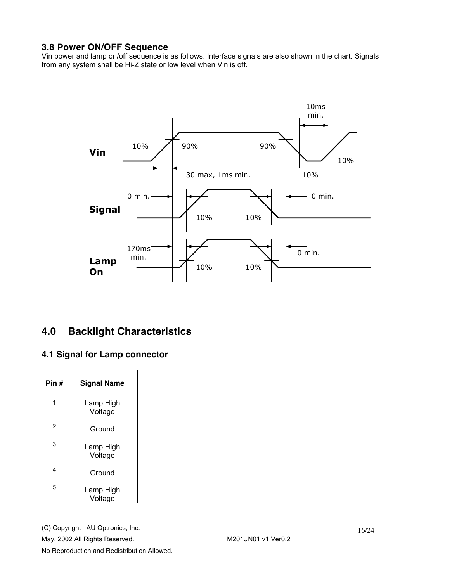### **3.8 Power ON/OFF Sequence**

Vin power and lamp on/off sequence is as follows. Interface signals are also shown in the chart. Signals from any system shall be Hi-Z state or low level when Vin is off.



### **4.0 Backlight Characteristics**

### **4.1 Signal for Lamp connector**

| Pin # | <b>Signal Name</b>   |
|-------|----------------------|
|       | Lamp High<br>Voltage |
| 2     | Ground               |
| 3     | Lamp High<br>Voltage |
| 4     | Ground               |
| 5     | Lamp High<br>Voltage |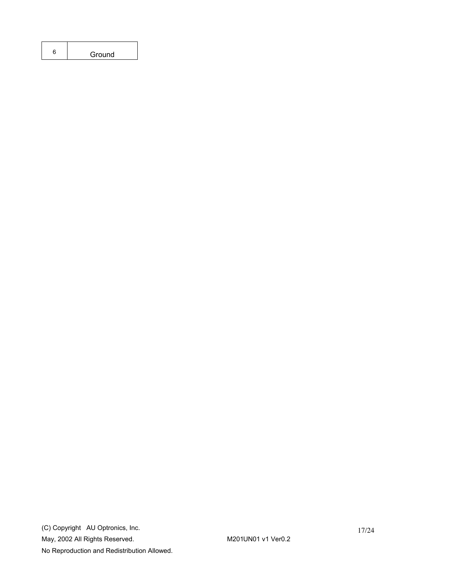| Ground |
|--------|
|        |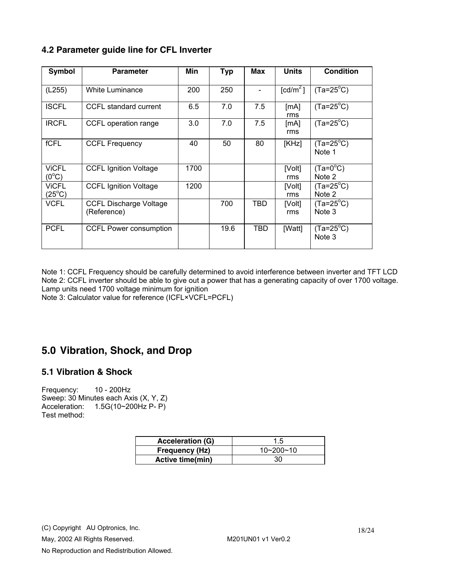### **4.2 Parameter guide line for CFL Inverter**

| Symbol                          | <b>Parameter</b>                             | Min  | <b>Typ</b> | Max | <b>Units</b>                        | <b>Condition</b>             |
|---------------------------------|----------------------------------------------|------|------------|-----|-------------------------------------|------------------------------|
| (L255)                          | White Luminance                              | 200  | 250        |     | $\lceil$ cd/m <sup>2</sup> $\lceil$ | $(Ta=25^{\circ}C)$           |
| <b>ISCFL</b>                    | CCFL standard current                        | 6.5  | 7.0        | 7.5 | [mA]<br>rms                         | $(Ta=25^{\circ}C)$           |
| <b>IRCFL</b>                    | CCFL operation range                         | 3.0  | 7.0        | 7.5 | [MA]<br>rms                         | $(Ta=25^{\circ}C)$           |
| fCFL                            | <b>CCFL Frequency</b>                        | 40   | 50         | 80  | [KHz]                               | $(Ta=25^{\circ}C)$<br>Note 1 |
| <b>ViCFL</b><br>$(0^{\circ}C)$  | <b>CCFL Ignition Voltage</b>                 | 1700 |            |     | [Volt]<br>rms                       | $(Ta=0^{\circ}C)$<br>Note 2  |
| <b>ViCFL</b><br>$(25^{\circ}C)$ | <b>CCFL Ignition Voltage</b>                 | 1200 |            |     | [Volt]<br>rms                       | $(Ta=25^{\circ}C)$<br>Note 2 |
| <b>VCFL</b>                     | <b>CCFL Discharge Voltage</b><br>(Reference) |      | 700        | TBD | [Volt]<br>rms                       | $(Ta=25^{\circ}C)$<br>Note 3 |
| <b>PCFL</b>                     | <b>CCFL Power consumption</b>                |      | 19.6       | TBD | [Watt]                              | $(Ta=25^{\circ}C)$<br>Note 3 |

Note 1: CCFL Frequency should be carefully determined to avoid interference between inverter and TFT LCD Note 2: CCFL inverter should be able to give out a power that has a generating capacity of over 1700 voltage. Lamp units need 1700 voltage minimum for ignition

Note 3: Calculator value for reference (ICFL×VCFL=PCFL)

### **5.0 Vibration, Shock, and Drop**

### **5.1 Vibration & Shock**

Frequency: 10 - 200Hz Sweep: 30 Minutes each Axis (X, Y, Z) Acceleration: 1.5G(10~200Hz P- P) Test method:

| <b>Acceleration (G)</b> | ל. ∣      |
|-------------------------|-----------|
| <b>Frequency (Hz)</b>   | 10~200~10 |
| Active time(min)        | 30        |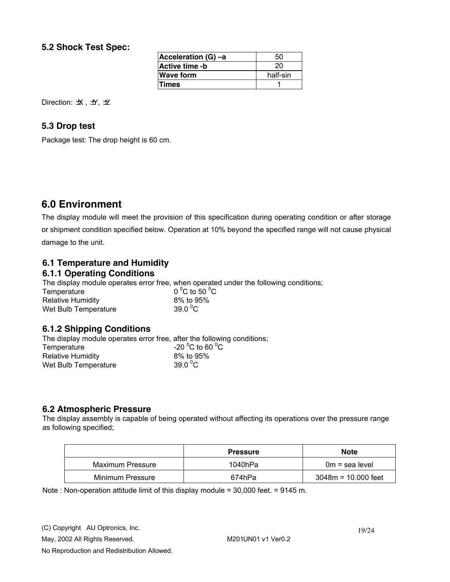### **5.2 Shock Test Spec:**

| Acceleration (G) -a   | 50       |
|-----------------------|----------|
| <b>Active time -b</b> | 20       |
| <b>Wave form</b>      | half-sin |
| <b>Times</b>          |          |

Direction:  $\pm X$ ,  $\pm Y$ ,  $\pm Z$ 

### **5.3 Drop test**

Package test: The drop height is 60 cm.

### **6.0 Environment**

The display module will meet the provision of this specification during operating condition or after storage or shipment condition specified below. Operation at 10% beyond the specified range will not cause physical damage to the unit.

### **6.1 Temperature and Humidity**

### **6.1.1 Operating Conditions**

The display module operates error free, when operated under the following conditions;

| Temperature              | 0 <sup>o</sup> C to 50 <sup>o</sup> C |
|--------------------------|---------------------------------------|
| <b>Relative Humidity</b> | 8% to 95%                             |
| Wet Bulb Temperature     | 39.0 $\mathrm{^0C}$                   |

### **6.1.2 Shipping Conditions**

The display module operates error free, after the following conditions; Temperature  $-20\,^{\circ}\text{C}$  to 60  $^{\circ}\text{C}$ Relative Humidity 8% to 95% Wet Bulb Temperature  $39.0^{\circ}$ C

### **6.2 Atmospheric Pressure**

The display assembly is capable of being operated without affecting its operations over the pressure range as following specified;

|                  | <b>Pressure</b> | <b>Note</b>           |
|------------------|-----------------|-----------------------|
| Maximum Pressure | 1040hPa         | $0m = sea level$      |
| Minimum Pressure | 674hPa          | $3048m = 10.000$ feet |

Note : Non-operation attitude limit of this display module = 30,000 feet. = 9145 m.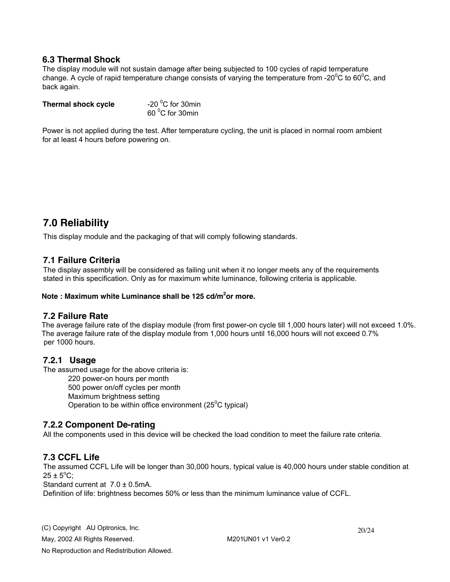#### **6.3 Thermal Shock**

The display module will not sustain damage after being subjected to 100 cycles of rapid temperature change. A cycle of rapid temperature change consists of varying the temperature from -20 $\rm ^{0}C$  to 60 $\rm ^{0}C$ , and back again.

| Thermal shock cycle | -20 $\mathrm{^0C}$ for 30min |
|---------------------|------------------------------|
|                     | 60 °C for 30min              |

Power is not applied during the test. After temperature cycling, the unit is placed in normal room ambient for at least 4 hours before powering on.

### **7.0 Reliability**

This display module and the packaging of that will comply following standards.

#### **7.1 Failure Criteria**

The display assembly will be considered as failing unit when it no longer meets any of the requirements stated in this specification. Only as for maximum white luminance, following criteria is applicable.

#### **Note : Maximum white Luminance shall be 125 cd/m<sup>2</sup> or more.**

#### **7.2 Failure Rate**

The average failure rate of the display module (from first power-on cycle till 1,000 hours later) will not exceed 1.0%. The average failure rate of the display module from 1,000 hours until 16,000 hours will not exceed 0.7% per 1000 hours.

#### **7.2.1 Usage**

The assumed usage for the above criteria is:

220 power-on hours per month 500 power on/off cycles per month Maximum brightness setting Operation to be within office environment ( $25^{\circ}$ C typical)

#### **7.2.2 Component De-rating**

All the components used in this device will be checked the load condition to meet the failure rate criteria.

### **7.3 CCFL Life**

The assumed CCFL Life will be longer than 30,000 hours, typical value is 40,000 hours under stable condition at  $25 \pm 5^{\circ}$ C;

Standard current at 7.0 ± 0.5mA.

Definition of life: brightness becomes 50% or less than the minimum luminance value of CCFL.

(C) Copyright AU Optronics, Inc. May, 2002 All Rights Reserved. May, 2002 All Rights Reserved.

20/24

No Reproduction and Redistribution Allowed.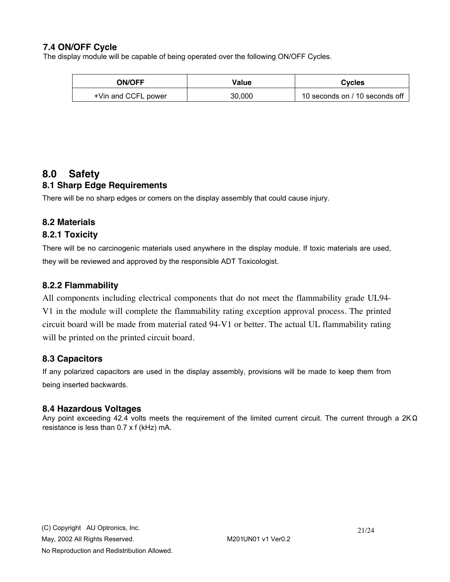### **7.4 ON/OFF Cycle**

The display module will be capable of being operated over the following ON/OFF Cycles.

| <b>ON/OFF</b>       | Value  | <b>Cycles</b>                  |  |
|---------------------|--------|--------------------------------|--|
| +Vin and CCFL power | 30,000 | 10 seconds on / 10 seconds off |  |

### **8.0 Safety**

### **8.1 Sharp Edge Requirements**

There will be no sharp edges or comers on the display assembly that could cause injury.

### **8.2 Materials**

### **8.2.1 Toxicity**

There will be no carcinogenic materials used anywhere in the display module. If toxic materials are used, they will be reviewed and approved by the responsible ADT Toxicologist.

### **8.2.2 Flammability**

All components including electrical components that do not meet the flammability grade UL94- V1 in the module will complete the flammability rating exception approval process. The printed circuit board will be made from material rated 94-V1 or better. The actual UL flammability rating will be printed on the printed circuit board.

### **8.3 Capacitors**

If any polarized capacitors are used in the display assembly, provisions will be made to keep them from being inserted backwards.

#### **8.4 Hazardous Voltages**

Any point exceeding 42.4 volts meets the requirement of the limited current circuit. The current through a 2KΩ resistance is less than 0.7 x f (kHz) mA.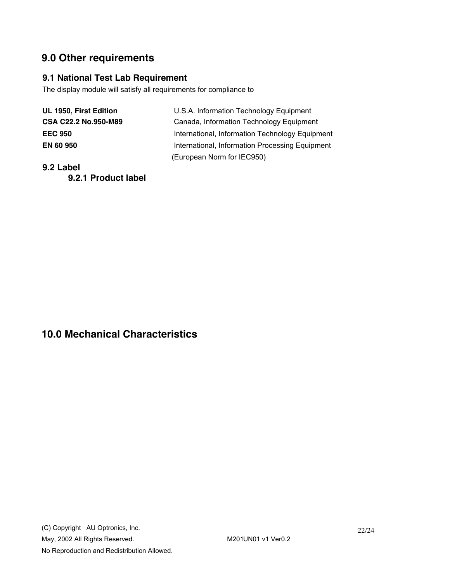# **9.0 Other requirements**

### **9.1 National Test Lab Requirement**

The display module will satisfy all requirements for compliance to

| U.S.A. Information Technology Equipment         |
|-------------------------------------------------|
| Canada, Information Technology Equipment        |
| International, Information Technology Equipment |
| International, Information Processing Equipment |
| (European Norm for IEC950)                      |
|                                                 |

**9.2 Label** 

**9.2.1 Product label** 

## **10.0 Mechanical Characteristics**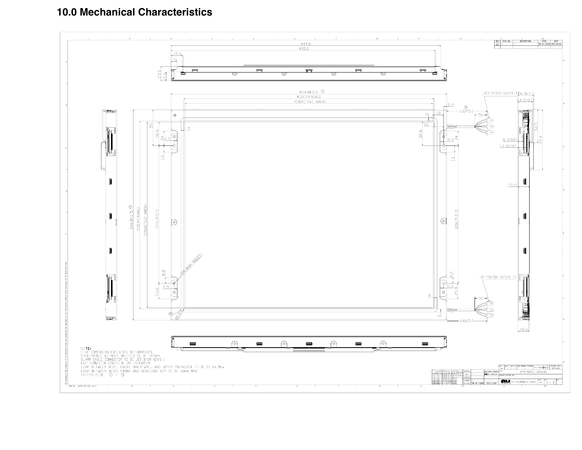**10.0 Mechanical Characteristics**